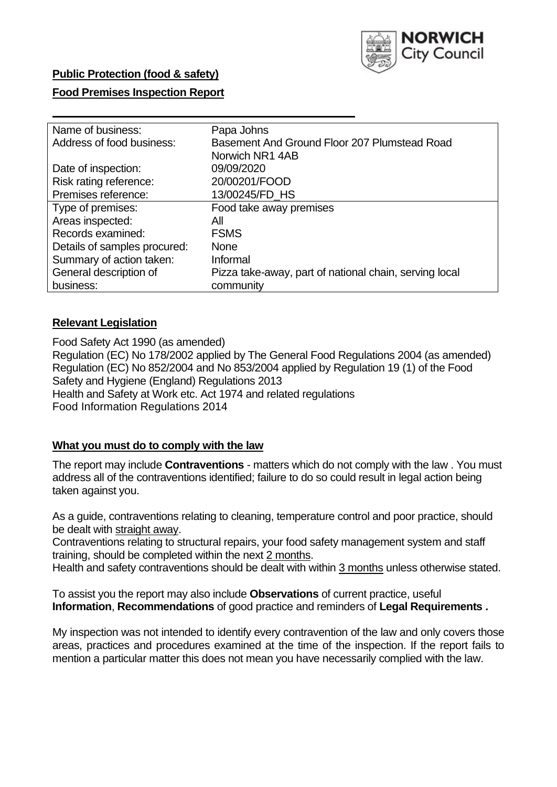

## **Public Protection (food & safety)**

## **Food Premises Inspection Report**

| Name of business:            | Papa Johns                                             |  |  |  |  |
|------------------------------|--------------------------------------------------------|--|--|--|--|
| Address of food business:    | Basement And Ground Floor 207 Plumstead Road           |  |  |  |  |
|                              | Norwich NR1 4AB                                        |  |  |  |  |
| Date of inspection:          | 09/09/2020                                             |  |  |  |  |
| Risk rating reference:       | 20/00201/FOOD                                          |  |  |  |  |
| Premises reference:          | 13/00245/FD_HS                                         |  |  |  |  |
| Type of premises:            | Food take away premises                                |  |  |  |  |
| Areas inspected:             | All                                                    |  |  |  |  |
| Records examined:            | <b>FSMS</b>                                            |  |  |  |  |
| Details of samples procured: | <b>None</b>                                            |  |  |  |  |
| Summary of action taken:     | Informal                                               |  |  |  |  |
| General description of       | Pizza take-away, part of national chain, serving local |  |  |  |  |
| business:                    | community                                              |  |  |  |  |

## **Relevant Legislation**

 Food Safety Act 1990 (as amended) Regulation (EC) No 178/2002 applied by The General Food Regulations 2004 (as amended) Regulation (EC) No 852/2004 and No 853/2004 applied by Regulation 19 (1) of the Food Safety and Hygiene (England) Regulations 2013 Health and Safety at Work etc. Act 1974 and related regulations Food Information Regulations 2014

## **What you must do to comply with the law**

 The report may include **Contraventions** - matters which do not comply with the law . You must address all of the contraventions identified; failure to do so could result in legal action being taken against you.

 As a guide, contraventions relating to cleaning, temperature control and poor practice, should be dealt with straight away.

 Contraventions relating to structural repairs, your food safety management system and staff training, should be completed within the next 2 months.

Health and safety contraventions should be dealt with within 3 months unless otherwise stated.

 To assist you the report may also include **Observations** of current practice, useful **Information**, **Recommendations** of good practice and reminders of **Legal Requirements .** 

 My inspection was not intended to identify every contravention of the law and only covers those areas, practices and procedures examined at the time of the inspection. If the report fails to mention a particular matter this does not mean you have necessarily complied with the law.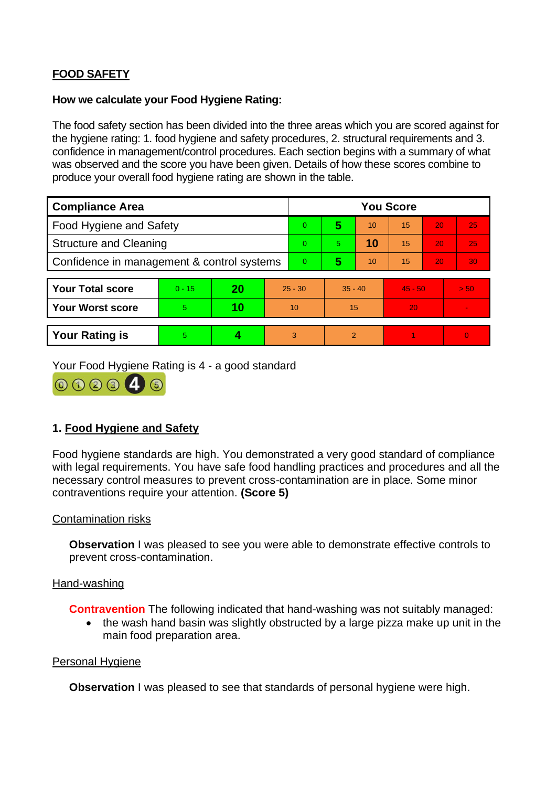# **FOOD SAFETY**

## **How we calculate your Food Hygiene Rating:**

 The food safety section has been divided into the three areas which you are scored against for the hygiene rating: 1. food hygiene and safety procedures, 2. structural requirements and 3. confidence in management/control procedures. Each section begins with a summary of what was observed and the score you have been given. Details of how these scores combine to produce your overall food hygiene rating are shown in the table.

| <b>Compliance Area</b>                     |          |    |           | <b>You Score</b> |                |    |           |    |                |  |  |
|--------------------------------------------|----------|----|-----------|------------------|----------------|----|-----------|----|----------------|--|--|
| <b>Food Hygiene and Safety</b>             |          |    |           | $\overline{0}$   | 5              | 10 | 15        | 20 | 25             |  |  |
| <b>Structure and Cleaning</b>              |          |    |           | $\Omega$         | 5.             | 10 | 15        | 20 | 25             |  |  |
| Confidence in management & control systems |          |    |           | $\Omega$         | 5              | 10 | 15        | 20 | 30             |  |  |
|                                            |          |    |           |                  |                |    |           |    |                |  |  |
| <b>Your Total score</b>                    | $0 - 15$ | 20 | $25 - 30$ |                  | $35 - 40$      |    | $45 - 50$ |    | > 50           |  |  |
| <b>Your Worst score</b>                    | 5        | 10 | 10        |                  | 15             |    | 20        |    |                |  |  |
|                                            |          |    |           |                  |                |    |           |    |                |  |  |
| <b>Your Rating is</b>                      | 5        |    |           | 3                | $\overline{2}$ |    |           |    | $\overline{0}$ |  |  |

Your Food Hygiene Rating is 4 - a good standard



# **1. Food Hygiene and Safety**

 with legal requirements. You have safe food handling practices and procedures and all the Food hygiene standards are high. You demonstrated a very good standard of compliance necessary control measures to prevent cross-contamination are in place. Some minor contraventions require your attention. **(Score 5)** 

## Contamination risks

**Observation** I was pleased to see you were able to demonstrate effective controls to prevent cross-contamination.

### Hand-washing

**Contravention** The following indicated that hand-washing was not suitably managed:

• the wash hand basin was slightly obstructed by a large pizza make up unit in the main food preparation area.

### Personal Hygiene

**Observation** I was pleased to see that standards of personal hygiene were high.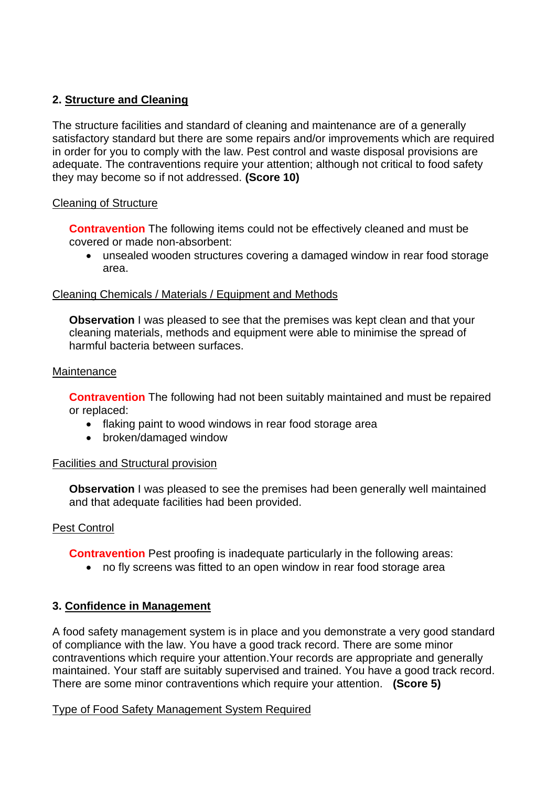# **2. Structure and Cleaning**

The structure facilities and standard of cleaning and maintenance are of a generally satisfactory standard but there are some repairs and/or improvements which are required in order for you to comply with the law. Pest control and waste disposal provisions are adequate. The contraventions require your attention; although not critical to food safety they may become so if not addressed. **(Score 10)** 

## Cleaning of Structure

 **Contravention** The following items could not be effectively cleaned and must be covered or made non-absorbent:

• unsealed wooden structures covering a damaged window in rear food storage area.

## Cleaning Chemicals / Materials / Equipment and Methods

**Observation** I was pleased to see that the premises was kept clean and that your cleaning materials, methods and equipment were able to minimise the spread of harmful bacteria between surfaces.

## **Maintenance**

**Contravention** The following had not been suitably maintained and must be repaired or replaced:

- flaking paint to wood windows in rear food storage area
- broken/damaged window

## Facilities and Structural provision

 **Observation** I was pleased to see the premises had been generally well maintained and that adequate facilities had been provided.

## Pest Control

**Contravention** Pest proofing is inadequate particularly in the following areas:

• no fly screens was fitted to an open window in rear food storage area

# **3. Confidence in Management**

A food safety management system is in place and you demonstrate a very good standard of compliance with the law. You have a good track record. There are some minor contraventions which require your attention.Your records are appropriate and generally maintained. Your staff are suitably supervised and trained. You have a good track record. There are some minor contraventions which require your attention. **(Score 5)** 

## Type of Food Safety Management System Required